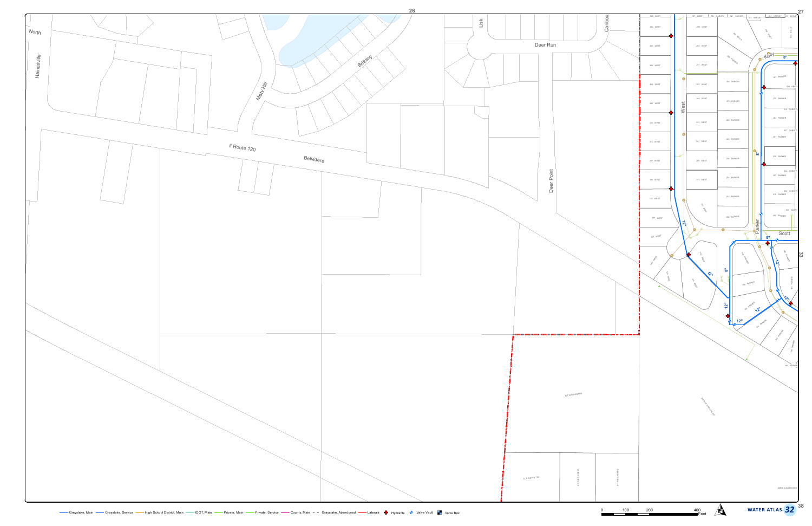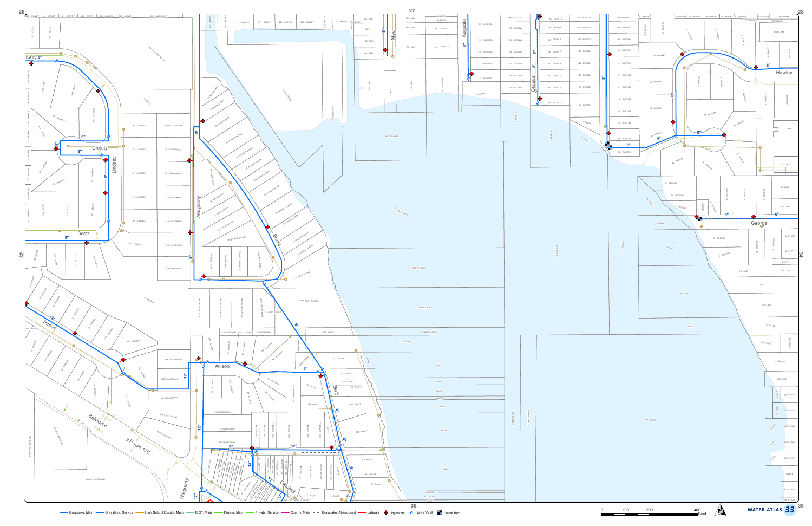